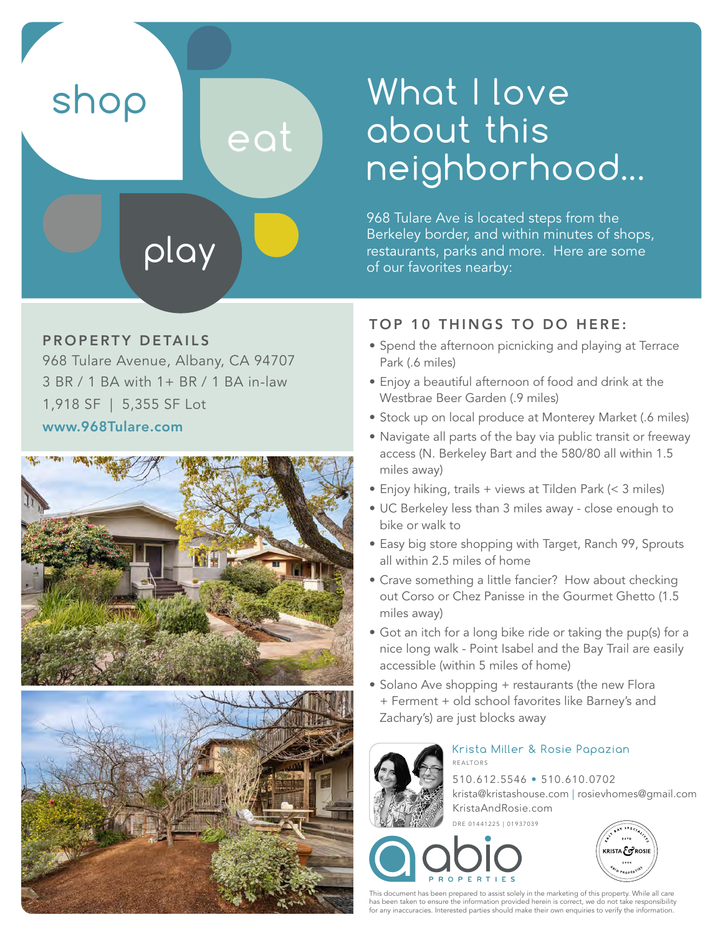shop

# What I love about this neighborhood...

968 Tulare Ave is located steps from the Berkeley border, and within minutes of shops, restaurants, parks and more. Here are some of our favorites nearby:

#### PROPERTY DETAILS

968 Tulare Avenue, Albany, CA 94707 3 BR / 1 BA with 1+ BR / 1 BA in-law 1,918 SF | 5,355 SF Lot

play

eat

www.968Tulare.com





#### TOP 10 THINGS TO DO HERE:

- Spend the afternoon picnicking and playing at Terrace Park (.6 miles)
- Enjoy a beautiful afternoon of food and drink at the Westbrae Beer Garden (.9 miles)
- Stock up on local produce at Monterey Market (.6 miles)
- Navigate all parts of the bay via public transit or freeway access (N. Berkeley Bart and the 580/80 all within 1.5 miles away)
- Enjoy hiking, trails + views at Tilden Park (< 3 miles)
- UC Berkeley less than 3 miles away close enough to bike or walk to
- Easy big store shopping with Target, Ranch 99, Sprouts all within 2.5 miles of home
- Crave something a little fancier? How about checking out Corso or Chez Panisse in the Gourmet Ghetto (1.5 miles away)
- Got an itch for a long bike ride or taking the pup(s) for a nice long walk - Point Isabel and the Bay Trail are easily accessible (within 5 miles of home)
- Solano Ave shopping + restaurants (the new Flora + Ferment + old school favorites like Barney's and Zachary's) are just blocks away



#### Krista Miller & Rosie Papazian REALTORS

510.612.5546 • 510.610.0702 krista@kristashouse.com | rosievhomes@gmail.com KristaAndRosie.com

DRE 01441225 | 01937039





This document has been prepared to assist solely in the marketing of this property. While all care has been taken to ensure the information provided herein is correct, we do not take responsibility for any inaccuracies. Interested parties should make their own enquiries to verify the information.